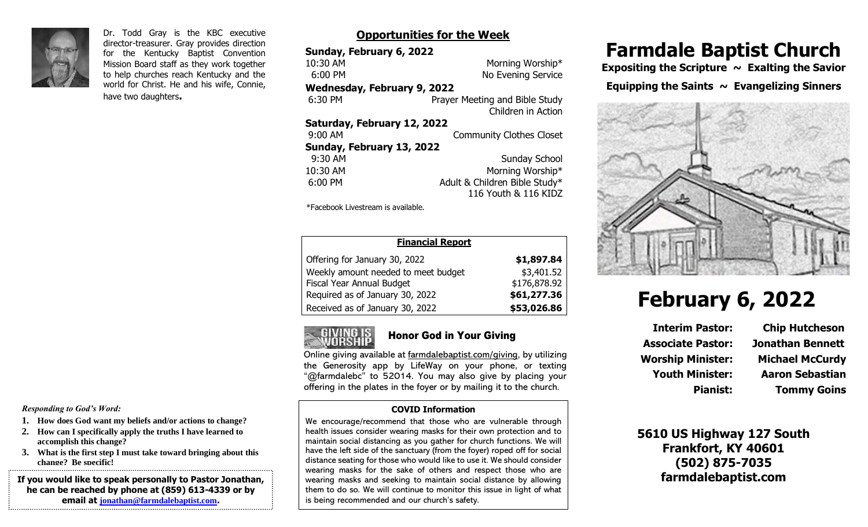

Dr. Todd Gray is the KBC executive director-treasurer. Gray provides direction for the Kentucky Baptist Convention Mission Board staff as they work together to help churches reach Kentucky and the world for Christ. He and his wife, Connie, have two daughters**.**

### **Opportunities for the Week**

| Sunday, February 6, 2022           |                                 |  |
|------------------------------------|---------------------------------|--|
| 10:30 AM                           | Morning Worship*                |  |
| $6:00$ PM                          | No Evening Service              |  |
| <b>Wednesday, February 9, 2022</b> |                                 |  |
| 6:30 PM                            | Prayer Meeting and Bible Study  |  |
|                                    | Children in Action              |  |
| Saturday, February 12, 2022        |                                 |  |
| 9:00 AM                            | <b>Community Clothes Closet</b> |  |
| Sunday, February 13, 2022          |                                 |  |
| 9:30 AM                            | Sunday School                   |  |
| 10:30 AM                           | Morning Worship*                |  |
| $6:00$ PM                          | Adult & Children Bible Study*   |  |
|                                    | 116 Youth & 116 KIDZ            |  |

\*Facebook Livestream is available.

| <b>Financial Report</b>             |              |
|-------------------------------------|--------------|
| Offering for January 30, 2022       | \$1,897.84   |
| Weekly amount needed to meet budget | \$3,401.52   |
| Fiscal Year Annual Budget           | \$176,878.92 |
| Required as of January 30, 2022     | \$61,277.36  |
| Received as of January 30, 2022     | \$53,026.86  |



### Honor God in Your Giving

Online giving available at farmdalebaptist.com/giving, by utilizing the Generosity app by LifeWay on your phone, or texting "@farmdalebc" to 52014. You may also give by placing your offering in the plates in the foyer or by mailing it to the church.

#### **COVID Information**

We encourage/recommend that those who are vulnerable through health issues consider wearing masks for their own protection and to maintain social distancing as you gather for church functions. We will have the left side of the sanctuary (from the foyer) roped off for social distance seating for those who would like to use it. We should consider wearing masks for the sake of others and respect those who are wearing masks and seeking to maintain social distance by allowing them to do so. We will continue to monitor this issue in light of what is being recommended and our church's safety.

# **Farmdale Baptist Church**

Expositing the Scripture ~ Exalting the Savior **Equipping the Saints**  $\sim$  **Evangelizing Sinners** 



# **February 6, 2022**

**Interim Pastor: Chip Hutcheson Associate Pastor: Jonathan Bennett Worship Minister: Michael McCurdy Youth Minister: Aaron Sebastian**

**Pianist: Tommy Goins**

**5610 US Highway 127 South Frankfort, KY 40601 (502) 875-7035 farmdalebaptist.com**

*Responding to God's Word:*

- **1. How does God want my beliefs and/or actions to change?**
- **2. How can I specifically apply the truths I have learned to accomplish this change?**
- **3. What is the first step I must take toward bringing about this change? Be specific!**

**If you would like to speak personally to Pastor Jonathan, he can be reached by phone at (859) 613-4339 or by email at [jonathan@farmdalebaptist.com](mailto:jonathan@farmdalebaptist.com).**